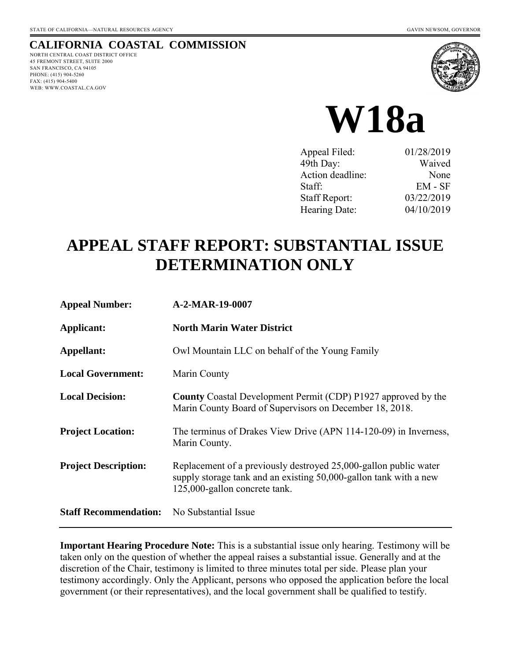# **CALIFORNIA COASTAL COMMISSION**

NORTH CENTRAL COAST DISTRICT OFFICE 45 FREMONT STREET, SUITE 2000 SAN FRANCISCO, CA 94105 PHONE: (415) 904-5260 FAX: (415) 904-5400 WEB: WWW.COASTAL.CA.GOV





| Appeal Filed:        | 01/28/2019 |
|----------------------|------------|
| 49th Day:            | Waived     |
| Action deadline:     | None       |
| Staff:               | $EM - SF$  |
| <b>Staff Report:</b> | 03/22/2019 |
| Hearing Date:        | 04/10/2019 |

# **APPEAL STAFF REPORT: SUBSTANTIAL ISSUE DETERMINATION ONLY**

| <b>Appeal Number:</b>        | A-2-MAR-19-0007                                                                                                                                                        |
|------------------------------|------------------------------------------------------------------------------------------------------------------------------------------------------------------------|
| Applicant:                   | <b>North Marin Water District</b>                                                                                                                                      |
| Appellant:                   | Owl Mountain LLC on behalf of the Young Family                                                                                                                         |
| <b>Local Government:</b>     | Marin County                                                                                                                                                           |
| <b>Local Decision:</b>       | <b>County</b> Coastal Development Permit (CDP) P1927 approved by the<br>Marin County Board of Supervisors on December 18, 2018.                                        |
| <b>Project Location:</b>     | The terminus of Drakes View Drive (APN 114-120-09) in Inverness,<br>Marin County.                                                                                      |
| <b>Project Description:</b>  | Replacement of a previously destroyed 25,000-gallon public water<br>supply storage tank and an existing 50,000-gallon tank with a new<br>125,000-gallon concrete tank. |
| <b>Staff Recommendation:</b> | No Substantial Issue                                                                                                                                                   |

**Important Hearing Procedure Note:** This is a substantial issue only hearing. Testimony will be taken only on the question of whether the appeal raises a substantial issue. Generally and at the discretion of the Chair, testimony is limited to three minutes total per side. Please plan your testimony accordingly. Only the Applicant, persons who opposed the application before the local government (or their representatives), and the local government shall be qualified to testify.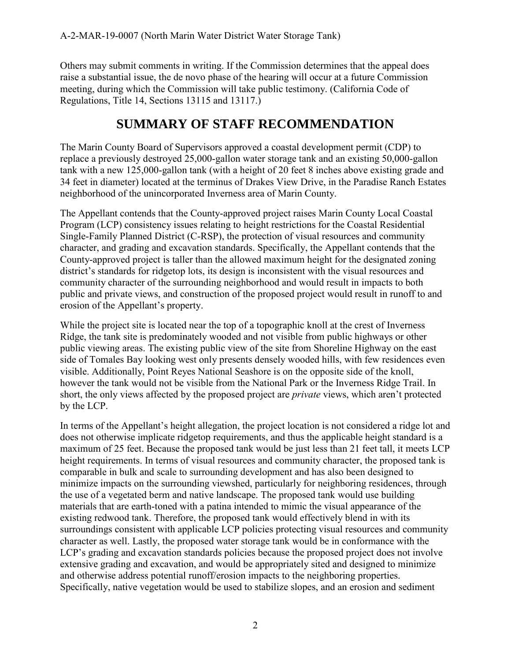Others may submit comments in writing. If the Commission determines that the appeal does raise a substantial issue, the de novo phase of the hearing will occur at a future Commission meeting, during which the Commission will take public testimony. (California Code of Regulations, Title 14, Sections 13115 and 13117.)

# **SUMMARY OF STAFF RECOMMENDATION**

The Marin County Board of Supervisors approved a coastal development permit (CDP) to replace a previously destroyed 25,000-gallon water storage tank and an existing 50,000-gallon tank with a new 125,000-gallon tank (with a height of 20 feet 8 inches above existing grade and 34 feet in diameter) located at the terminus of Drakes View Drive, in the Paradise Ranch Estates neighborhood of the unincorporated Inverness area of Marin County.

The Appellant contends that the County-approved project raises Marin County Local Coastal Program (LCP) consistency issues relating to height restrictions for the Coastal Residential Single-Family Planned District (C-RSP), the protection of visual resources and community character, and grading and excavation standards. Specifically, the Appellant contends that the County-approved project is taller than the allowed maximum height for the designated zoning district's standards for ridgetop lots, its design is inconsistent with the visual resources and community character of the surrounding neighborhood and would result in impacts to both public and private views, and construction of the proposed project would result in runoff to and erosion of the Appellant's property.

While the project site is located near the top of a topographic knoll at the crest of Inverness Ridge, the tank site is predominately wooded and not visible from public highways or other public viewing areas. The existing public view of the site from Shoreline Highway on the east side of Tomales Bay looking west only presents densely wooded hills, with few residences even visible. Additionally, Point Reyes National Seashore is on the opposite side of the knoll, however the tank would not be visible from the National Park or the Inverness Ridge Trail. In short, the only views affected by the proposed project are *private* views, which aren't protected by the LCP.

In terms of the Appellant's height allegation, the project location is not considered a ridge lot and does not otherwise implicate ridgetop requirements, and thus the applicable height standard is a maximum of 25 feet. Because the proposed tank would be just less than 21 feet tall, it meets LCP height requirements. In terms of visual resources and community character, the proposed tank is comparable in bulk and scale to surrounding development and has also been designed to minimize impacts on the surrounding viewshed, particularly for neighboring residences, through the use of a vegetated berm and native landscape. The proposed tank would use building materials that are earth-toned with a patina intended to mimic the visual appearance of the existing redwood tank. Therefore, the proposed tank would effectively blend in with its surroundings consistent with applicable LCP policies protecting visual resources and community character as well. Lastly, the proposed water storage tank would be in conformance with the LCP's grading and excavation standards policies because the proposed project does not involve extensive grading and excavation, and would be appropriately sited and designed to minimize and otherwise address potential runoff/erosion impacts to the neighboring properties. Specifically, native vegetation would be used to stabilize slopes, and an erosion and sediment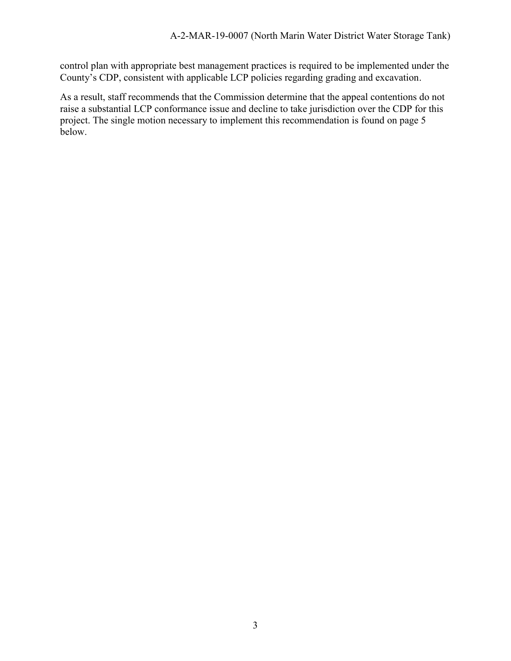control plan with appropriate best management practices is required to be implemented under the County's CDP, consistent with applicable LCP policies regarding grading and excavation.

As a result, staff recommends that the Commission determine that the appeal contentions do not raise a substantial LCP conformance issue and decline to take jurisdiction over the CDP for this project. The single motion necessary to implement this recommendation is found on page 5 below.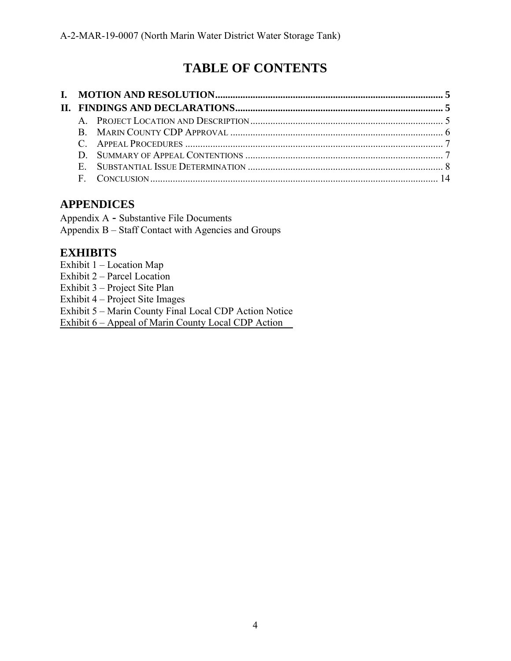# **TABLE OF CONTENTS**

# **APPENDICES**

Appendix A **-** Substantive File Documents Appendix B – Staff Contact with Agencies and Groups

# **EXHIBITS**

- Exhibit 1 Location Map
- Exhibit 2 Parcel Location
- Exhibit 3 Project Site Plan

Exhibit 4 – Project Site Images

Exhibit 5 – [Marin County Final Local CDP Action Notice](https://documents.coastal.ca.gov/reports/2019/4/w18a/w18a-4-2019-exhibits.pdf)

Exhibit 6 – Appeal of Marin County Local CDP Action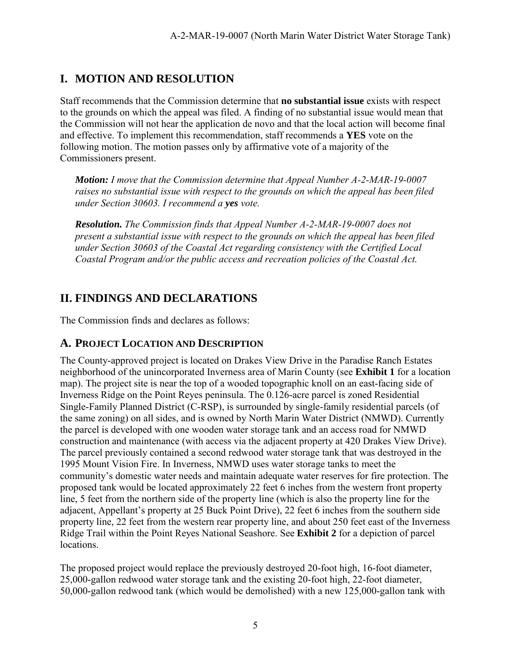# **I. MOTION AND RESOLUTION**

Staff recommends that the Commission determine that **no substantial issue** exists with respect to the grounds on which the appeal was filed. A finding of no substantial issue would mean that the Commission will not hear the application de novo and that the local action will become final and effective. To implement this recommendation, staff recommends a **YES** vote on the following motion. The motion passes only by affirmative vote of a majority of the Commissioners present.

*Motion: I move that the Commission determine that Appeal Number A-2-MAR-19-0007 raises no substantial issue with respect to the grounds on which the appeal has been filed under Section 30603. I recommend a yes vote.* 

*Resolution. The Commission finds that Appeal Number A-2-MAR-19-0007 does not present a substantial issue with respect to the grounds on which the appeal has been filed under Section 30603 of the Coastal Act regarding consistency with the Certified Local Coastal Program and/or the public access and recreation policies of the Coastal Act.* 

# **II. FINDINGS AND DECLARATIONS**

The Commission finds and declares as follows:

# **A. PROJECT LOCATION AND DESCRIPTION**

The County-approved project is located on Drakes View Drive in the Paradise Ranch Estates neighborhood of the unincorporated Inverness area of Marin County (see **Exhibit 1** for a location map). The project site is near the top of a wooded topographic knoll on an east-facing side of Inverness Ridge on the Point Reyes peninsula. The 0.126-acre parcel is zoned Residential Single-Family Planned District (C-RSP), is surrounded by single-family residential parcels (of the same zoning) on all sides, and is owned by North Marin Water District (NMWD). Currently the parcel is developed with one wooden water storage tank and an access road for NMWD construction and maintenance (with access via the adjacent property at 420 Drakes View Drive). The parcel previously contained a second redwood water storage tank that was destroyed in the 1995 Mount Vision Fire. In Inverness, NMWD uses water storage tanks to meet the community's domestic water needs and maintain adequate water reserves for fire protection. The proposed tank would be located approximately 22 feet 6 inches from the western front property line, 5 feet from the northern side of the property line (which is also the property line for the adjacent, Appellant's property at 25 Buck Point Drive), 22 feet 6 inches from the southern side property line, 22 feet from the western rear property line, and about 250 feet east of the Inverness Ridge Trail within the Point Reyes National Seashore. See **Exhibit 2** for a depiction of parcel locations.

The proposed project would replace the previously destroyed 20-foot high, 16-foot diameter, 25,000-gallon redwood water storage tank and the existing 20-foot high, 22-foot diameter, 50,000-gallon redwood tank (which would be demolished) with a new 125,000-gallon tank with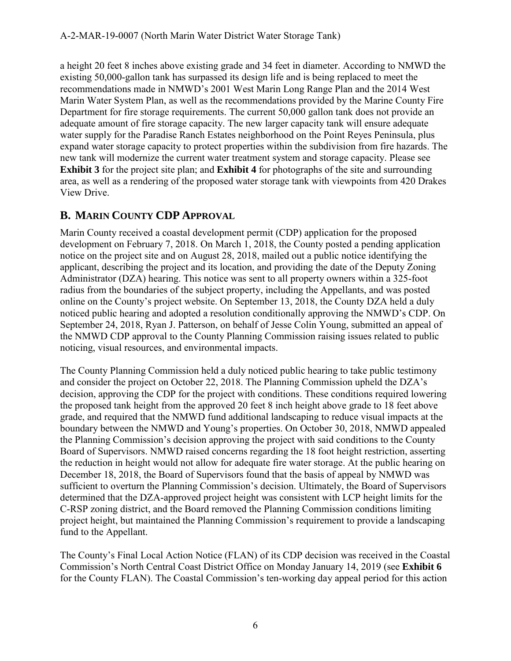a height 20 feet 8 inches above existing grade and 34 feet in diameter. According to NMWD the existing 50,000-gallon tank has surpassed its design life and is being replaced to meet the recommendations made in NMWD's 2001 West Marin Long Range Plan and the 2014 West Marin Water System Plan, as well as the recommendations provided by the Marine County Fire Department for fire storage requirements. The current 50,000 gallon tank does not provide an adequate amount of fire storage capacity. The new larger capacity tank will ensure adequate water supply for the Paradise Ranch Estates neighborhood on the Point Reyes Peninsula, plus expand water storage capacity to protect properties within the subdivision from fire hazards. The new tank will modernize the current water treatment system and storage capacity. Please see **Exhibit 3** for the project site plan; and **Exhibit 4** for photographs of the site and surrounding area, as well as a rendering of the proposed water storage tank with viewpoints from 420 Drakes View Drive.

# **B. MARIN COUNTY CDP APPROVAL**

Marin County received a coastal development permit (CDP) application for the proposed development on February 7, 2018. On March 1, 2018, the County posted a pending application notice on the project site and on August 28, 2018, mailed out a public notice identifying the applicant, describing the project and its location, and providing the date of the Deputy Zoning Administrator (DZA) hearing. This notice was sent to all property owners within a 325-foot radius from the boundaries of the subject property, including the Appellants, and was posted online on the County's project website. On September 13, 2018, the County DZA held a duly noticed public hearing and adopted a resolution conditionally approving the NMWD's CDP. On September 24, 2018, Ryan J. Patterson, on behalf of Jesse Colin Young, submitted an appeal of the NMWD CDP approval to the County Planning Commission raising issues related to public noticing, visual resources, and environmental impacts.

The County Planning Commission held a duly noticed public hearing to take public testimony and consider the project on October 22, 2018. The Planning Commission upheld the DZA's decision, approving the CDP for the project with conditions. These conditions required lowering the proposed tank height from the approved 20 feet 8 inch height above grade to 18 feet above grade, and required that the NMWD fund additional landscaping to reduce visual impacts at the boundary between the NMWD and Young's properties. On October 30, 2018, NMWD appealed the Planning Commission's decision approving the project with said conditions to the County Board of Supervisors. NMWD raised concerns regarding the 18 foot height restriction, asserting the reduction in height would not allow for adequate fire water storage. At the public hearing on December 18, 2018, the Board of Supervisors found that the basis of appeal by NMWD was sufficient to overturn the Planning Commission's decision. Ultimately, the Board of Supervisors determined that the DZA-approved project height was consistent with LCP height limits for the C-RSP zoning district, and the Board removed the Planning Commission conditions limiting project height, but maintained the Planning Commission's requirement to provide a landscaping fund to the Appellant.

The County's Final Local Action Notice (FLAN) of its CDP decision was received in the Coastal Commission's North Central Coast District Office on Monday January 14, 2019 (see **Exhibit 6**  for the County FLAN). The Coastal Commission's ten-working day appeal period for this action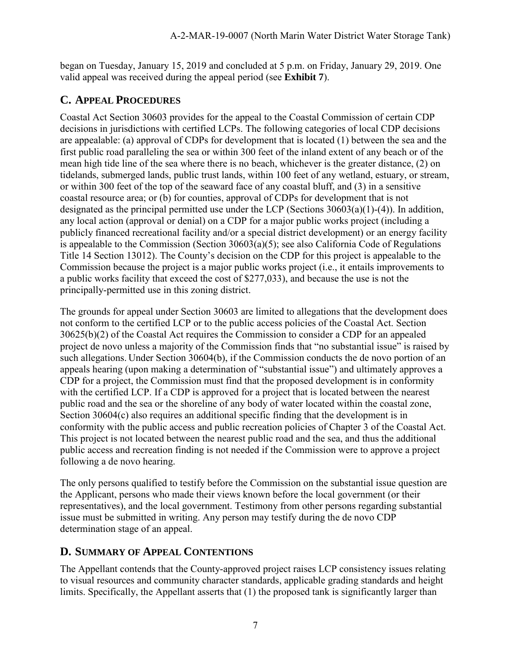began on Tuesday, January 15, 2019 and concluded at 5 p.m. on Friday, January 29, 2019. One valid appeal was received during the appeal period (see **Exhibit 7**).

# **C. APPEAL PROCEDURES**

Coastal Act Section 30603 provides for the appeal to the Coastal Commission of certain CDP decisions in jurisdictions with certified LCPs. The following categories of local CDP decisions are appealable: (a) approval of CDPs for development that is located (1) between the sea and the first public road paralleling the sea or within 300 feet of the inland extent of any beach or of the mean high tide line of the sea where there is no beach, whichever is the greater distance, (2) on tidelands, submerged lands, public trust lands, within 100 feet of any wetland, estuary, or stream, or within 300 feet of the top of the seaward face of any coastal bluff, and (3) in a sensitive coastal resource area; or (b) for counties, approval of CDPs for development that is not designated as the principal permitted use under the LCP (Sections 30603(a)(1)-(4)). In addition, any local action (approval or denial) on a CDP for a major public works project (including a publicly financed recreational facility and/or a special district development) or an energy facility is appealable to the Commission (Section 30603(a)(5); see also California Code of Regulations Title 14 Section 13012). The County's decision on the CDP for this project is appealable to the Commission because the project is a major public works project (i.e., it entails improvements to a public works facility that exceed the cost of \$277,033), and because the use is not the principally-permitted use in this zoning district.

The grounds for appeal under Section 30603 are limited to allegations that the development does not conform to the certified LCP or to the public access policies of the Coastal Act. Section 30625(b)(2) of the Coastal Act requires the Commission to consider a CDP for an appealed project de novo unless a majority of the Commission finds that "no substantial issue" is raised by such allegations. Under Section 30604(b), if the Commission conducts the de novo portion of an appeals hearing (upon making a determination of "substantial issue") and ultimately approves a CDP for a project, the Commission must find that the proposed development is in conformity with the certified LCP. If a CDP is approved for a project that is located between the nearest public road and the sea or the shoreline of any body of water located within the coastal zone, Section 30604(c) also requires an additional specific finding that the development is in conformity with the public access and public recreation policies of Chapter 3 of the Coastal Act. This project is not located between the nearest public road and the sea, and thus the additional public access and recreation finding is not needed if the Commission were to approve a project following a de novo hearing.

The only persons qualified to testify before the Commission on the substantial issue question are the Applicant, persons who made their views known before the local government (or their representatives), and the local government. Testimony from other persons regarding substantial issue must be submitted in writing. Any person may testify during the de novo CDP determination stage of an appeal.

# **D. SUMMARY OF APPEAL CONTENTIONS**

The Appellant contends that the County-approved project raises LCP consistency issues relating to visual resources and community character standards, applicable grading standards and height limits. Specifically, the Appellant asserts that (1) the proposed tank is significantly larger than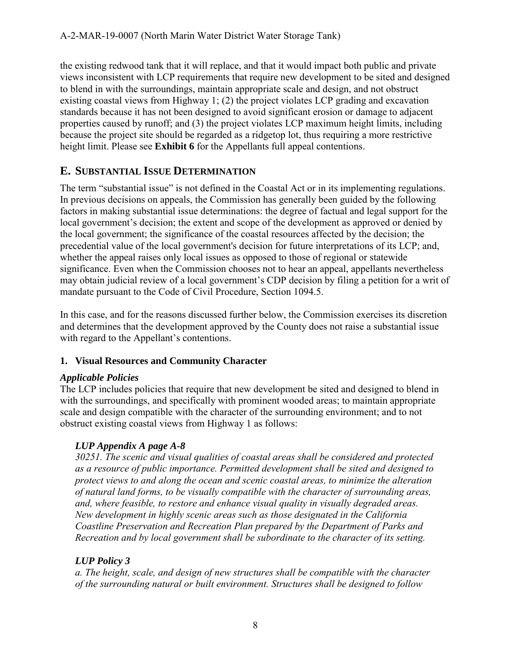the existing redwood tank that it will replace, and that it would impact both public and private views inconsistent with LCP requirements that require new development to be sited and designed to blend in with the surroundings, maintain appropriate scale and design, and not obstruct existing coastal views from Highway 1; (2) the project violates LCP grading and excavation standards because it has not been designed to avoid significant erosion or damage to adjacent properties caused by runoff; and (3) the project violates LCP maximum height limits, including because the project site should be regarded as a ridgetop lot, thus requiring a more restrictive height limit. Please see **Exhibit 6** for the Appellants full appeal contentions.

# **E. SUBSTANTIAL ISSUE DETERMINATION**

The term "substantial issue" is not defined in the Coastal Act or in its implementing regulations. In previous decisions on appeals, the Commission has generally been guided by the following factors in making substantial issue determinations: the degree of factual and legal support for the local government's decision; the extent and scope of the development as approved or denied by the local government; the significance of the coastal resources affected by the decision; the precedential value of the local government's decision for future interpretations of its LCP; and, whether the appeal raises only local issues as opposed to those of regional or statewide significance. Even when the Commission chooses not to hear an appeal, appellants nevertheless may obtain judicial review of a local government's CDP decision by filing a petition for a writ of mandate pursuant to the Code of Civil Procedure, Section 1094.5.

In this case, and for the reasons discussed further below, the Commission exercises its discretion and determines that the development approved by the County does not raise a substantial issue with regard to the Appellant's contentions.

## **1. Visual Resources and Community Character**

## *Applicable Policies*

The LCP includes policies that require that new development be sited and designed to blend in with the surroundings, and specifically with prominent wooded areas; to maintain appropriate scale and design compatible with the character of the surrounding environment; and to not obstruct existing coastal views from Highway 1 as follows:

# *LUP Appendix A page A-8*

*30251. The scenic and visual qualities of coastal areas shall be considered and protected as a resource of public importance. Permitted development shall be sited and designed to protect views to and along the ocean and scenic coastal areas, to minimize the alteration of natural land forms, to be visually compatible with the character of surrounding areas, and, where feasible, to restore and enhance visual quality in visually degraded areas. New development in highly scenic areas such as those designated in the California Coastline Preservation and Recreation Plan prepared by the Department of Parks and Recreation and by local government shall be subordinate to the character of its setting.* 

# *LUP Policy 3*

*a. The height, scale, and design of new structures shall be compatible with the character of the surrounding natural or built environment. Structures shall be designed to follow*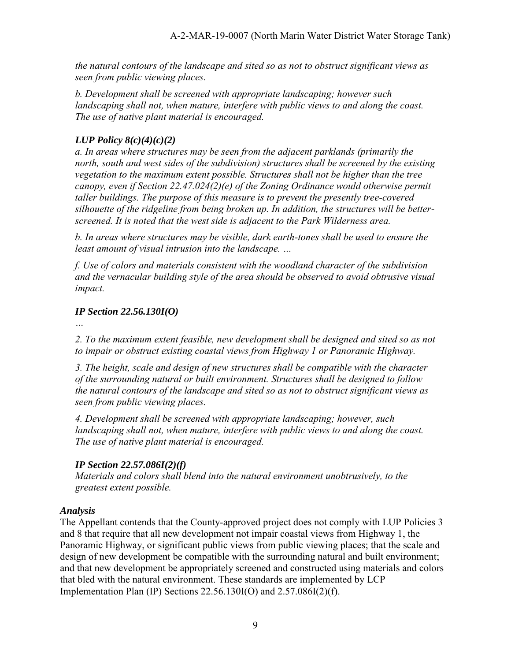*the natural contours of the landscape and sited so as not to obstruct significant views as seen from public viewing places.* 

*b. Development shall be screened with appropriate landscaping; however such landscaping shall not, when mature, interfere with public views to and along the coast. The use of native plant material is encouraged.* 

## *LUP Policy 8(c)(4)(c)(2)*

*a. In areas where structures may be seen from the adjacent parklands (primarily the north, south and west sides of the subdivision) structures shall be screened by the existing vegetation to the maximum extent possible. Structures shall not be higher than the tree canopy, even if Section 22.47.024(2)(e) of the Zoning Ordinance would otherwise permit taller buildings. The purpose of this measure is to prevent the presently tree-covered silhouette of the ridgeline from being broken up. In addition, the structures will be betterscreened. It is noted that the west side is adjacent to the Park Wilderness area.* 

*b. In areas where structures may be visible, dark earth-tones shall be used to ensure the least amount of visual intrusion into the landscape. …* 

*f. Use of colors and materials consistent with the woodland character of the subdivision and the vernacular building style of the area should be observed to avoid obtrusive visual impact.* 

## *IP Section 22.56.130I(O)*

*2. To the maximum extent feasible, new development shall be designed and sited so as not to impair or obstruct existing coastal views from Highway 1 or Panoramic Highway.* 

*3. The height, scale and design of new structures shall be compatible with the character of the surrounding natural or built environment. Structures shall be designed to follow the natural contours of the landscape and sited so as not to obstruct significant views as seen from public viewing places.* 

*4. Development shall be screened with appropriate landscaping; however, such landscaping shall not, when mature, interfere with public views to and along the coast. The use of native plant material is encouraged.* 

# *IP Section 22.57.086I(2)(f)*

*Materials and colors shall blend into the natural environment unobtrusively, to the greatest extent possible.*

## *Analysis*

The Appellant contends that the County-approved project does not comply with LUP Policies 3 and 8 that require that all new development not impair coastal views from Highway 1, the Panoramic Highway, or significant public views from public viewing places; that the scale and design of new development be compatible with the surrounding natural and built environment; and that new development be appropriately screened and constructed using materials and colors that bled with the natural environment. These standards are implemented by LCP Implementation Plan (IP) Sections 22.56.130I(O) and 2.57.086I(2)(f).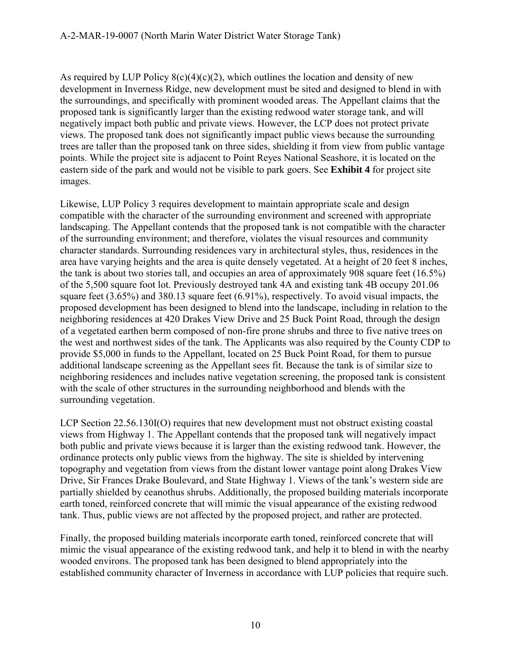As required by LUP Policy  $8(c)(4)(c)(2)$ , which outlines the location and density of new development in Inverness Ridge, new development must be sited and designed to blend in with the surroundings, and specifically with prominent wooded areas. The Appellant claims that the proposed tank is significantly larger than the existing redwood water storage tank, and will negatively impact both public and private views. However, the LCP does not protect private views. The proposed tank does not significantly impact public views because the surrounding trees are taller than the proposed tank on three sides, shielding it from view from public vantage points. While the project site is adjacent to Point Reyes National Seashore, it is located on the eastern side of the park and would not be visible to park goers. See **Exhibit 4** for project site images.

Likewise, LUP Policy 3 requires development to maintain appropriate scale and design compatible with the character of the surrounding environment and screened with appropriate landscaping. The Appellant contends that the proposed tank is not compatible with the character of the surrounding environment; and therefore, violates the visual resources and community character standards. Surrounding residences vary in architectural styles, thus, residences in the area have varying heights and the area is quite densely vegetated. At a height of 20 feet 8 inches, the tank is about two stories tall, and occupies an area of approximately 908 square feet (16.5%) of the 5,500 square foot lot. Previously destroyed tank 4A and existing tank 4B occupy 201.06 square feet (3.65%) and 380.13 square feet (6.91%), respectively. To avoid visual impacts, the proposed development has been designed to blend into the landscape, including in relation to the neighboring residences at 420 Drakes View Drive and 25 Buck Point Road, through the design of a vegetated earthen berm composed of non-fire prone shrubs and three to five native trees on the west and northwest sides of the tank. The Applicants was also required by the County CDP to provide \$5,000 in funds to the Appellant, located on 25 Buck Point Road, for them to pursue additional landscape screening as the Appellant sees fit. Because the tank is of similar size to neighboring residences and includes native vegetation screening, the proposed tank is consistent with the scale of other structures in the surrounding neighborhood and blends with the surrounding vegetation.

LCP Section 22.56.130I(O) requires that new development must not obstruct existing coastal views from Highway 1. The Appellant contends that the proposed tank will negatively impact both public and private views because it is larger than the existing redwood tank. However, the ordinance protects only public views from the highway. The site is shielded by intervening topography and vegetation from views from the distant lower vantage point along Drakes View Drive, Sir Frances Drake Boulevard, and State Highway 1. Views of the tank's western side are partially shielded by ceanothus shrubs. Additionally, the proposed building materials incorporate earth toned, reinforced concrete that will mimic the visual appearance of the existing redwood tank. Thus, public views are not affected by the proposed project, and rather are protected.

Finally, the proposed building materials incorporate earth toned, reinforced concrete that will mimic the visual appearance of the existing redwood tank, and help it to blend in with the nearby wooded environs. The proposed tank has been designed to blend appropriately into the established community character of Inverness in accordance with LUP policies that require such.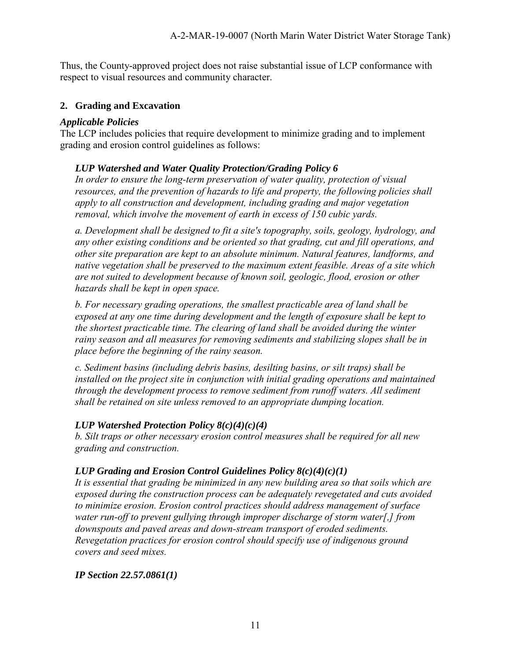Thus, the County-approved project does not raise substantial issue of LCP conformance with respect to visual resources and community character.

#### **2. Grading and Excavation**

#### *Applicable Policies*

The LCP includes policies that require development to minimize grading and to implement grading and erosion control guidelines as follows:

#### *LUP Watershed and Water Quality Protection/Grading Policy 6*

*In order to ensure the long-term preservation of water quality, protection of visual resources, and the prevention of hazards to life and property, the following policies shall apply to all construction and development, including grading and major vegetation removal, which involve the movement of earth in excess of 150 cubic yards.* 

*a. Development shall be designed to fit a site's topography, soils, geology, hydrology, and any other existing conditions and be oriented so that grading, cut and fill operations, and other site preparation are kept to an absolute minimum. Natural features, landforms, and native vegetation shall be preserved to the maximum extent feasible. Areas of a site which are not suited to development because of known soil, geologic, flood, erosion or other hazards shall be kept in open space.* 

*b. For necessary grading operations, the smallest practicable area of land shall be exposed at any one time during development and the length of exposure shall be kept to the shortest practicable time. The clearing of land shall be avoided during the winter rainy season and all measures for removing sediments and stabilizing slopes shall be in place before the beginning of the rainy season.* 

*c. Sediment basins (including debris basins, desilting basins, or silt traps) shall be installed on the project site in conjunction with initial grading operations and maintained through the development process to remove sediment from runoff waters. All sediment shall be retained on site unless removed to an appropriate dumping location.* 

#### *LUP Watershed Protection Policy 8(c)(4)(c)(4)*

*b. Silt traps or other necessary erosion control measures shall be required for all new grading and construction.* 

#### *LUP Grading and Erosion Control Guidelines Policy 8(c)(4)(c)(1)*

*It is essential that grading be minimized in any new building area so that soils which are exposed during the construction process can be adequately revegetated and cuts avoided to minimize erosion. Erosion control practices should address management of surface water run-off to prevent gullying through improper discharge of storm water[,] from downspouts and paved areas and down-stream transport of eroded sediments. Revegetation practices for erosion control should specify use of indigenous ground covers and seed mixes.* 

*IP Section 22.57.0861(1)*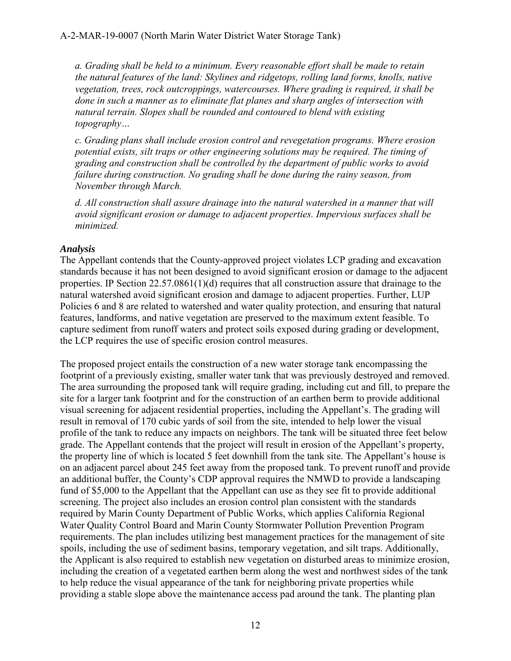*a. Grading shall be held to a minimum. Every reasonable effort shall be made to retain the natural features of the land: Skylines and ridgetops, rolling land forms, knolls, native vegetation, trees, rock outcroppings, watercourses. Where grading is required, it shall be done in such a manner as to eliminate flat planes and sharp angles of intersection with natural terrain. Slopes shall be rounded and contoured to blend with existing topography…* 

*c. Grading plans shall include erosion control and revegetation programs. Where erosion potential exists, silt traps or other engineering solutions may be required. The timing of grading and construction shall be controlled by the department of public works to avoid failure during construction. No grading shall be done during the rainy season, from November through March.* 

*d. All construction shall assure drainage into the natural watershed in a manner that will avoid significant erosion or damage to adjacent properties. Impervious surfaces shall be minimized.* 

#### *Analysis*

The Appellant contends that the County-approved project violates LCP grading and excavation standards because it has not been designed to avoid significant erosion or damage to the adjacent properties. IP Section 22.57.0861(1)(d) requires that all construction assure that drainage to the natural watershed avoid significant erosion and damage to adjacent properties. Further, LUP Policies 6 and 8 are related to watershed and water quality protection, and ensuring that natural features, landforms, and native vegetation are preserved to the maximum extent feasible. To capture sediment from runoff waters and protect soils exposed during grading or development, the LCP requires the use of specific erosion control measures.

The proposed project entails the construction of a new water storage tank encompassing the footprint of a previously existing, smaller water tank that was previously destroyed and removed. The area surrounding the proposed tank will require grading, including cut and fill, to prepare the site for a larger tank footprint and for the construction of an earthen berm to provide additional visual screening for adjacent residential properties, including the Appellant's. The grading will result in removal of 170 cubic yards of soil from the site, intended to help lower the visual profile of the tank to reduce any impacts on neighbors. The tank will be situated three feet below grade. The Appellant contends that the project will result in erosion of the Appellant's property, the property line of which is located 5 feet downhill from the tank site. The Appellant's house is on an adjacent parcel about 245 feet away from the proposed tank. To prevent runoff and provide an additional buffer, the County's CDP approval requires the NMWD to provide a landscaping fund of \$5,000 to the Appellant that the Appellant can use as they see fit to provide additional screening. The project also includes an erosion control plan consistent with the standards required by Marin County Department of Public Works, which applies California Regional Water Quality Control Board and Marin County Stormwater Pollution Prevention Program requirements. The plan includes utilizing best management practices for the management of site spoils, including the use of sediment basins, temporary vegetation, and silt traps. Additionally, the Applicant is also required to establish new vegetation on disturbed areas to minimize erosion, including the creation of a vegetated earthen berm along the west and northwest sides of the tank to help reduce the visual appearance of the tank for neighboring private properties while providing a stable slope above the maintenance access pad around the tank. The planting plan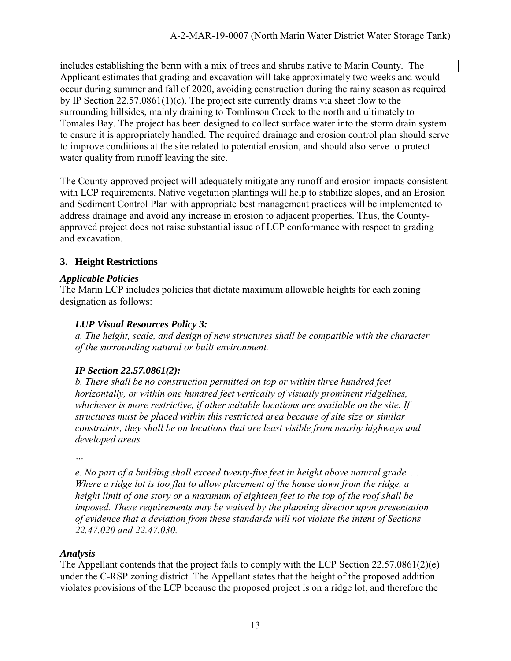includes establishing the berm with a mix of trees and shrubs native to Marin County. The Applicant estimates that grading and excavation will take approximately two weeks and would occur during summer and fall of 2020, avoiding construction during the rainy season as required by IP Section 22.57.0861(1)(c). The project site currently drains via sheet flow to the surrounding hillsides, mainly draining to Tomlinson Creek to the north and ultimately to Tomales Bay. The project has been designed to collect surface water into the storm drain system to ensure it is appropriately handled. The required drainage and erosion control plan should serve to improve conditions at the site related to potential erosion, and should also serve to protect water quality from runoff leaving the site.

The County-approved project will adequately mitigate any runoff and erosion impacts consistent with LCP requirements. Native vegetation plantings will help to stabilize slopes, and an Erosion and Sediment Control Plan with appropriate best management practices will be implemented to address drainage and avoid any increase in erosion to adjacent properties. Thus, the Countyapproved project does not raise substantial issue of LCP conformance with respect to grading and excavation.

## **3. Height Restrictions**

## *Applicable Policies*

The Marin LCP includes policies that dictate maximum allowable heights for each zoning designation as follows:

## *LUP Visual Resources Policy 3:*

*a. The height, scale, and design of new structures shall be compatible with the character of the surrounding natural or built environment.* 

## *IP Section 22.57.0861(2):*

*b. There shall be no construction permitted on top or within three hundred feet horizontally, or within one hundred feet vertically of visually prominent ridgelines, whichever is more restrictive, if other suitable locations are available on the site. If structures must be placed within this restricted area because of site size or similar constraints, they shall be on locations that are least visible from nearby highways and developed areas.* 

*…* 

*e. No part of a building shall exceed twenty-five feet in height above natural grade. . . Where a ridge lot is too flat to allow placement of the house down from the ridge, a height limit of one story or a maximum of eighteen feet to the top of the roof shall be imposed. These requirements may be waived by the planning director upon presentation of evidence that a deviation from these standards will not violate the intent of Sections 22.47.020 and 22.47.030.* 

## *Analysis*

The Appellant contends that the project fails to comply with the LCP Section 22.57.0861(2)(e) under the C-RSP zoning district. The Appellant states that the height of the proposed addition violates provisions of the LCP because the proposed project is on a ridge lot, and therefore the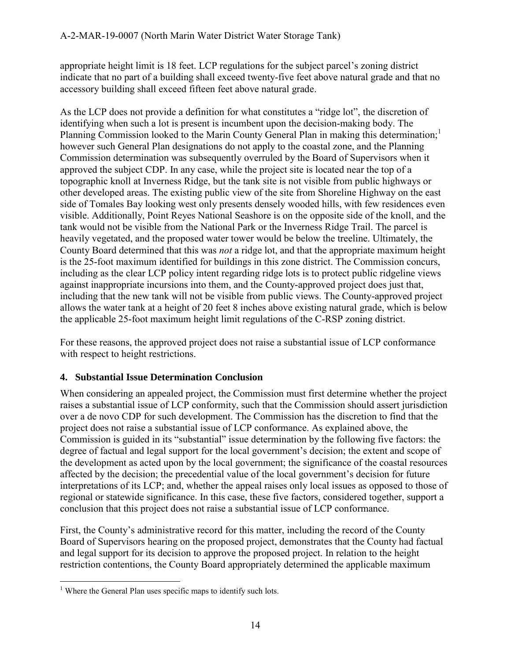appropriate height limit is 18 feet. LCP regulations for the subject parcel's zoning district indicate that no part of a building shall exceed twenty-five feet above natural grade and that no accessory building shall exceed fifteen feet above natural grade.

As the LCP does not provide a definition for what constitutes a "ridge lot", the discretion of identifying when such a lot is present is incumbent upon the decision-making body. The Planning Commission looked to the Marin County General Plan in making this determination;<sup>1</sup> however such General Plan designations do not apply to the coastal zone, and the Planning Commission determination was subsequently overruled by the Board of Supervisors when it approved the subject CDP. In any case, while the project site is located near the top of a topographic knoll at Inverness Ridge, but the tank site is not visible from public highways or other developed areas. The existing public view of the site from Shoreline Highway on the east side of Tomales Bay looking west only presents densely wooded hills, with few residences even visible. Additionally, Point Reyes National Seashore is on the opposite side of the knoll, and the tank would not be visible from the National Park or the Inverness Ridge Trail. The parcel is heavily vegetated, and the proposed water tower would be below the treeline. Ultimately, the County Board determined that this was *not* a ridge lot, and that the appropriate maximum height is the 25-foot maximum identified for buildings in this zone district. The Commission concurs, including as the clear LCP policy intent regarding ridge lots is to protect public ridgeline views against inappropriate incursions into them, and the County-approved project does just that, including that the new tank will not be visible from public views. The County-approved project allows the water tank at a height of 20 feet 8 inches above existing natural grade, which is below the applicable 25-foot maximum height limit regulations of the C-RSP zoning district.

For these reasons, the approved project does not raise a substantial issue of LCP conformance with respect to height restrictions.

# **4. Substantial Issue Determination Conclusion**

When considering an appealed project, the Commission must first determine whether the project raises a substantial issue of LCP conformity, such that the Commission should assert jurisdiction over a de novo CDP for such development. The Commission has the discretion to find that the project does not raise a substantial issue of LCP conformance. As explained above, the Commission is guided in its "substantial" issue determination by the following five factors: the degree of factual and legal support for the local government's decision; the extent and scope of the development as acted upon by the local government; the significance of the coastal resources affected by the decision; the precedential value of the local government's decision for future interpretations of its LCP; and, whether the appeal raises only local issues as opposed to those of regional or statewide significance. In this case, these five factors, considered together, support a conclusion that this project does not raise a substantial issue of LCP conformance.

First, the County's administrative record for this matter, including the record of the County Board of Supervisors hearing on the proposed project, demonstrates that the County had factual and legal support for its decision to approve the proposed project. In relation to the height restriction contentions, the County Board appropriately determined the applicable maximum

 $\overline{a}$  $1$  Where the General Plan uses specific maps to identify such lots.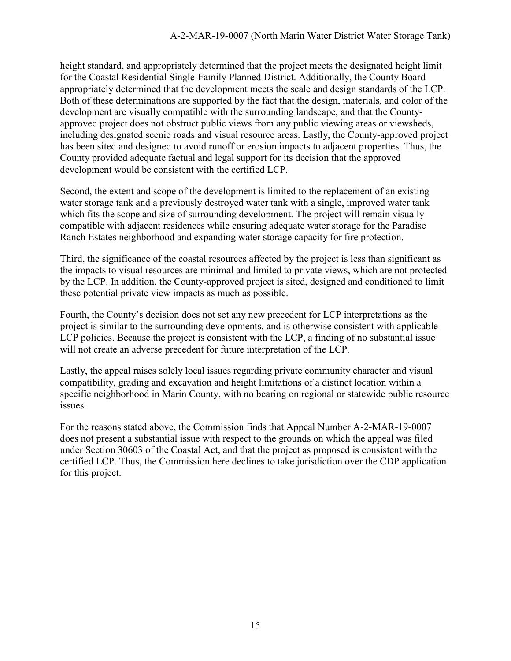height standard, and appropriately determined that the project meets the designated height limit for the Coastal Residential Single-Family Planned District. Additionally, the County Board appropriately determined that the development meets the scale and design standards of the LCP. Both of these determinations are supported by the fact that the design, materials, and color of the development are visually compatible with the surrounding landscape, and that the Countyapproved project does not obstruct public views from any public viewing areas or viewsheds, including designated scenic roads and visual resource areas. Lastly, the County-approved project has been sited and designed to avoid runoff or erosion impacts to adjacent properties. Thus, the County provided adequate factual and legal support for its decision that the approved development would be consistent with the certified LCP.

Second, the extent and scope of the development is limited to the replacement of an existing water storage tank and a previously destroyed water tank with a single, improved water tank which fits the scope and size of surrounding development. The project will remain visually compatible with adjacent residences while ensuring adequate water storage for the Paradise Ranch Estates neighborhood and expanding water storage capacity for fire protection.

Third, the significance of the coastal resources affected by the project is less than significant as the impacts to visual resources are minimal and limited to private views, which are not protected by the LCP. In addition, the County-approved project is sited, designed and conditioned to limit these potential private view impacts as much as possible.

Fourth, the County's decision does not set any new precedent for LCP interpretations as the project is similar to the surrounding developments, and is otherwise consistent with applicable LCP policies. Because the project is consistent with the LCP, a finding of no substantial issue will not create an adverse precedent for future interpretation of the LCP.

Lastly, the appeal raises solely local issues regarding private community character and visual compatibility, grading and excavation and height limitations of a distinct location within a specific neighborhood in Marin County, with no bearing on regional or statewide public resource issues.

For the reasons stated above, the Commission finds that Appeal Number A-2-MAR-19-0007 does not present a substantial issue with respect to the grounds on which the appeal was filed under Section 30603 of the Coastal Act, and that the project as proposed is consistent with the certified LCP. Thus, the Commission here declines to take jurisdiction over the CDP application for this project.